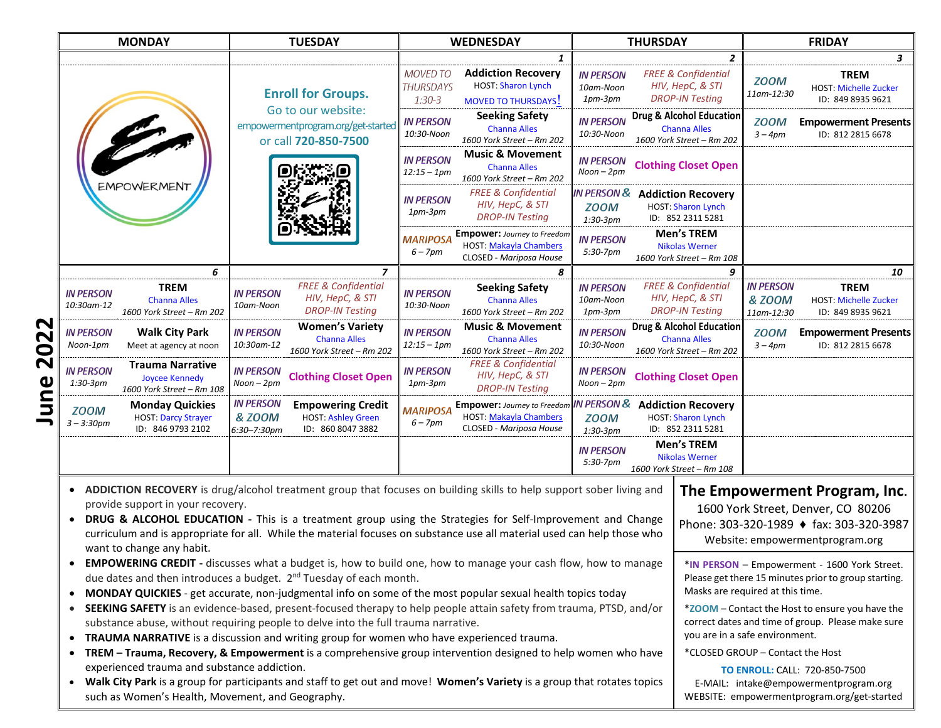| <b>MONDAY</b>                                                                                                                                                                                                                                                                                                                                                                                                                                                                                                                                                                                   | <b>TUESDAY</b>                                                                                                                     |                                                 | <b>WEDNESDAY</b>                                                                               |                                                     | <b>THURSDAY</b>                                                              | <b>FRIDAY</b>                                       |                                                                  |  |
|-------------------------------------------------------------------------------------------------------------------------------------------------------------------------------------------------------------------------------------------------------------------------------------------------------------------------------------------------------------------------------------------------------------------------------------------------------------------------------------------------------------------------------------------------------------------------------------------------|------------------------------------------------------------------------------------------------------------------------------------|-------------------------------------------------|------------------------------------------------------------------------------------------------|-----------------------------------------------------|------------------------------------------------------------------------------|-----------------------------------------------------|------------------------------------------------------------------|--|
|                                                                                                                                                                                                                                                                                                                                                                                                                                                                                                                                                                                                 |                                                                                                                                    |                                                 | 1                                                                                              |                                                     | $\overline{2}$                                                               |                                                     | $\mathbf{3}$                                                     |  |
|                                                                                                                                                                                                                                                                                                                                                                                                                                                                                                                                                                                                 | <b>Enroll for Groups.</b>                                                                                                          | <b>MOVED TO</b><br><b>THURSDAYS</b><br>$1:30-3$ | <b>Addiction Recovery</b><br><b>HOST: Sharon Lynch</b><br><b>MOVED TO THURSDAYS!</b>           | <b>IN PERSON</b><br>10am-Noon<br>$1pm-3pm$          | <b>FREE &amp; Confidential</b><br>HIV, HepC, & STI<br><b>DROP-IN Testing</b> | <b>ZOOM</b><br>11am-12:30                           | <b>TREM</b><br><b>HOST: Michelle Zucker</b><br>ID: 849 8935 9621 |  |
|                                                                                                                                                                                                                                                                                                                                                                                                                                                                                                                                                                                                 | Go to our website:<br>empowermentprogram.org/get-started<br>or call 720-850-7500                                                   | <b>IN PERSON</b><br>10:30-Noon                  | <b>Seeking Safety</b><br><b>Channa Alles</b><br>1600 York Street - Rm 202                      | <b>IN PERSON</b><br>10:30-Noon                      | Drug & Alcohol Education<br><b>Channa Alles</b><br>1600 York Street - Rm 202 | <b>ZOOM</b><br>$3 - 4pm$                            | <b>Empowerment Presents</b><br>ID: 812 2815 6678                 |  |
| <b>EMPOWERMENT</b>                                                                                                                                                                                                                                                                                                                                                                                                                                                                                                                                                                              |                                                                                                                                    | <b>IN PERSON</b><br>$12:15 - 1pm$               | <b>Music &amp; Movement</b><br><b>Channa Alles</b><br>1600 York Street - Rm 202                | <b>IN PERSON</b><br>$Noon-2pm$                      | <b>Clothing Closet Open</b>                                                  |                                                     |                                                                  |  |
|                                                                                                                                                                                                                                                                                                                                                                                                                                                                                                                                                                                                 |                                                                                                                                    | <b>IN PERSON</b><br>1pm-3pm                     | <b>FREE &amp; Confidential</b><br>HIV, HepC, & STI<br><b>DROP-IN Testing</b>                   | <b>IN PERSON &amp;</b><br><b>ZOOM</b><br>$1:30-3pm$ | <b>Addiction Recovery</b><br>HOST: Sharon Lynch<br>ID: 852 2311 5281         |                                                     |                                                                  |  |
|                                                                                                                                                                                                                                                                                                                                                                                                                                                                                                                                                                                                 |                                                                                                                                    | <b>MARIPOSA</b><br>$6 - 7$ pm                   | <b>Empower:</b> Journey to Freedom<br><b>HOST: Makayla Chambers</b><br>CLOSED - Mariposa House | <b>IN PERSON</b><br>$5:30-7$ pm                     | <b>Men's TREM</b><br><b>Nikolas Werner</b><br>1600 York Street - Rm 108      |                                                     |                                                                  |  |
|                                                                                                                                                                                                                                                                                                                                                                                                                                                                                                                                                                                                 | 6                                                                                                                                  | $\overline{z}$                                  | 8                                                                                              |                                                     | 9                                                                            |                                                     | 10                                                               |  |
| <b>TREM</b><br><b>IN PERSON</b><br><b>Channa Alles</b><br>10:30am-12<br>1600 York Street - Rm 202                                                                                                                                                                                                                                                                                                                                                                                                                                                                                               | <b>FREE &amp; Confidential</b><br><b>IN PERSON</b><br>HIV, HepC, & STI<br>10am-Noon<br><b>DROP-IN Testing</b>                      | <b>IN PERSON</b><br>10:30-Noon                  | <b>Seeking Safety</b><br><b>Channa Alles</b><br>1600 York Street - Rm 202                      | <b>IN PERSON</b><br>10am-Noon<br>$1pm-3pm$          | <b>FREE &amp; Confidential</b><br>HIV, HepC, & STI<br><b>DROP-IN Testing</b> | <b>IN PERSON</b><br><b>&amp; ZOOM</b><br>11am-12:30 | <b>TREM</b><br><b>HOST: Michelle Zucker</b><br>ID: 849 8935 9621 |  |
| <b>IN PERSON</b><br><b>Walk City Park</b><br>Noon-1pm<br>Meet at agency at noon                                                                                                                                                                                                                                                                                                                                                                                                                                                                                                                 | <b>Women's Variety</b><br><b>IN PERSON</b><br><b>Channa Alles</b><br>10:30am-12<br>1600 York Street - Rm 202                       | <b>IN PERSON</b><br>$12:15 - 1$ pm              | <b>Music &amp; Movement</b><br><b>Channa Alles</b><br>1600 York Street - Rm 202                | <b>IN PERSON</b><br>10:30-Noon                      | Drug & Alcohol Education<br><b>Channa Alles</b><br>1600 York Street - Rm 202 | <b>ZOOM</b><br>$3 - 4pm$                            | <b>Empowerment Presents</b><br>ID: 812 2815 6678                 |  |
| <b>Trauma Narrative</b><br><b>IN PERSON</b><br><b>Joycee Kennedy</b><br>$1:30-3pm$<br>1600 York Street - Rm 108                                                                                                                                                                                                                                                                                                                                                                                                                                                                                 | <b>IN PERSON</b><br><b>Clothing Closet Open</b><br>Noon – 2pm                                                                      | <b>IN PERSON</b><br>$1pm-3pm$                   | <b>FREE &amp; Confidential</b><br>HIV, HepC, & STI<br><b>DROP-IN Testing</b>                   | <b>IN PERSON</b><br>$Noon-2pm$                      | <b>Clothing Closet Open</b>                                                  |                                                     |                                                                  |  |
| <b>Monday Quickies</b><br><b>ZOOM</b><br><b>HOST: Darcy Strayer</b><br>$3 - 3:30pm$<br>ID: 846 9793 2102                                                                                                                                                                                                                                                                                                                                                                                                                                                                                        | <b>IN PERSON</b><br><b>Empowering Credit</b><br><b>&amp; ZOOM</b><br><b>HOST: Ashley Green</b><br>ID: 860 8047 3882<br>6:30-7:30pm | MARIPOSA<br>$6 - 7$ pm                          | <b>Empower:</b> Journey to Freedon<br><b>HOST: Makayla Chambers</b><br>CLOSED - Mariposa House | <b>IN PERSON &amp;</b><br><b>ZOOM</b><br>$1:30-3pm$ | <b>Addiction Recovery</b><br>HOST: Sharon Lynch<br>ID: 852 2311 5281         |                                                     |                                                                  |  |
|                                                                                                                                                                                                                                                                                                                                                                                                                                                                                                                                                                                                 |                                                                                                                                    |                                                 |                                                                                                | <b>IN PERSON</b><br>5:30-7pm                        | <b>Men's TREM</b><br><b>Nikolas Werner</b><br>1600 York Street - Rm 108      |                                                     |                                                                  |  |
| ADDICTION RECOVERY is drug/alcohol treatment group that focuses on building skills to help support sober living and<br>The Empowerment Program, Inc.<br>provide support in your recovery.<br>1600 York Street, Denver, CO 80206<br>DRUG & ALCOHOL EDUCATION - This is a treatment group using the Strategies for Self-Improvement and Change<br>$\bullet$<br>Phone: 303-320-1989 ♦ fax: 303-320-3987<br>curriculum and is appropriate for all. While the material focuses on substance use all material used can help those who<br>Website: empowermentprogram.org<br>want to change any habit. |                                                                                                                                    |                                                 |                                                                                                |                                                     |                                                                              |                                                     |                                                                  |  |
| <b>EMPOWERING CREDIT</b> - discusses what a budget is, how to build one, how to manage your cash flow, how to manage<br>*IN PERSON - Empowerment - 1600 York Street.<br>$\bullet$<br>due dates and then introduces a budget. 2 <sup>nd</sup> Tuesday of each month.<br>Please get there 15 minutes prior to group starting.<br>Masks are required at this time.<br>MONDAY QUICKIES - get accurate, non-judgmental info on some of the most popular sexual health topics today<br>$\bullet$                                                                                                      |                                                                                                                                    |                                                 |                                                                                                |                                                     |                                                                              |                                                     |                                                                  |  |
| SEEKING SAFETY is an evidence-based, present-focused therapy to help people attain safety from trauma, PTSD, and/or<br>*ZOOM - Contact the Host to ensure you have the<br>$\bullet$<br>correct dates and time of group. Please make sure<br>substance abuse, without requiring people to delve into the full trauma narrative.<br>you are in a safe environment.<br>TRAUMA NARRATIVE is a discussion and writing group for women who have experienced trauma.<br>$\bullet$                                                                                                                      |                                                                                                                                    |                                                 |                                                                                                |                                                     |                                                                              |                                                     |                                                                  |  |
| TREM - Trauma, Recovery, & Empowerment is a comprehensive group intervention designed to help women who have<br>*CLOSED GROUP - Contact the Host<br>experienced trauma and substance addiction.<br><b>TO ENROLL: CALL: 720-850-7500</b><br>Walk City Park is a group for participants and staff to get out and move! Women's Variety is a group that rotates topics<br>E-MAIL: intake@empowermentprogram.org<br>such as Women's Health, Movement, and Geography.<br>WEBSITE: empowermentprogram.org/get-started                                                                                 |                                                                                                                                    |                                                 |                                                                                                |                                                     |                                                                              |                                                     |                                                                  |  |